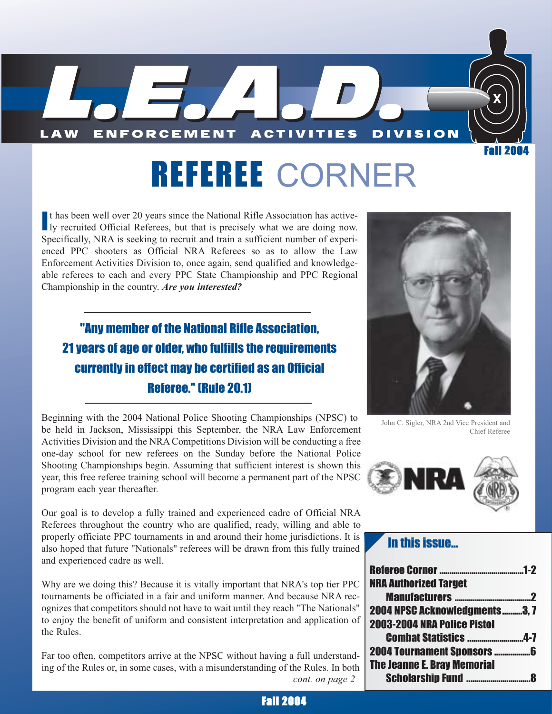

# REFEREE CORNER

It has been well over 20 years since the National Rifle Association has actively recruited Official Referees, but that is precisely what we are doing now. t has been well over 20 years since the National Rifle Association has active-Specifically, NRA is seeking to recruit and train a sufficient number of experienced PPC shooters as Official NRA Referees so as to allow the Law Enforcement Activities Division to, once again, send qualified and knowledgeable referees to each and every PPC State Championship and PPC Regional Championship in the country. *Are you interested?*

### "Any member of the National Rifle Association, 21 years of age or older, who fulfills the requirements currently in effect may be certified as an Official Referee." (Rule 20.1)

Beginning with the 2004 National Police Shooting Championships (NPSC) to be held in Jackson, Mississippi this September, the NRA Law Enforcement Activities Division and the NRA Competitions Division will be conducting a free one-day school for new referees on the Sunday before the National Police Shooting Championships begin. Assuming that sufficient interest is shown this year, this free referee training school will become a permanent part of the NPSC program each year thereafter.

Our goal is to develop a fully trained and experienced cadre of Official NRA Referees throughout the country who are qualified, ready, willing and able to properly officiate PPC tournaments in and around their home jurisdictions. It is also hoped that future "Nationals" referees will be drawn from this fully trained and experienced cadre as well.

Why are we doing this? Because it is vitally important that NRA's top tier PPC tournaments be officiated in a fair and uniform manner. And because NRA recognizes that competitors should not have to wait until they reach "The Nationals" to enjoy the benefit of uniform and consistent interpretation and application of the Rules.

Far too often, competitors arrive at the NPSC without having a full understanding of the Rules or, in some cases, with a misunderstanding of the Rules. In both *cont. on page 2*



John C. Sigler, NRA 2nd Vice President and Chief Referee



#### In this issue...

| <b>NRA Authorized Target</b>         |   |
|--------------------------------------|---|
|                                      | 2 |
| <b>2004 NPSC Acknowledgments3, 7</b> |   |
| <b>2003-2004 NRA Police Pistol</b>   |   |
| <b>Combat Statistics 4-7</b>         |   |
|                                      |   |
| <b>The Jeanne E. Bray Memorial</b>   |   |
|                                      | Å |

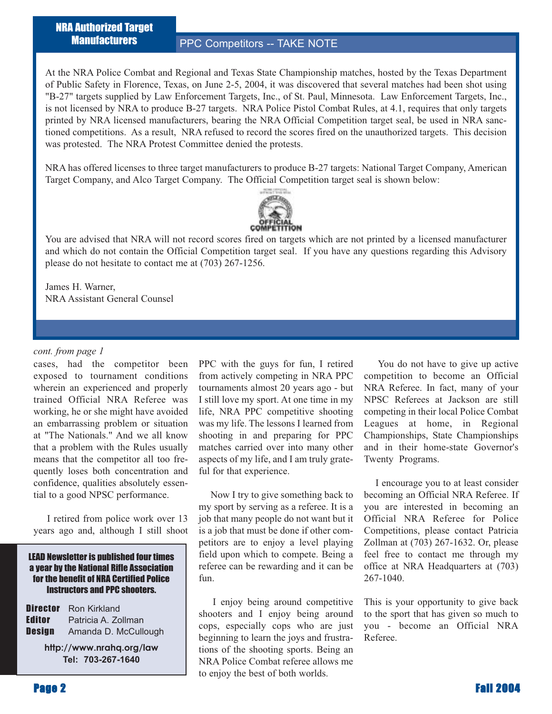NRA Authorized Target **Manufacturers** 

#### PPC Competitors -- TAKE NOTE

At the NRA Police Combat and Regional and Texas State Championship matches, hosted by the Texas Department of Public Safety in Florence, Texas, on June 2-5, 2004, it was discovered that several matches had been shot using "B-27" targets supplied by Law Enforcement Targets, Inc., of St. Paul, Minnesota. Law Enforcement Targets, Inc., is not licensed by NRA to produce B-27 targets. NRA Police Pistol Combat Rules, at 4.1, requires that only targets printed by NRA licensed manufacturers, bearing the NRA Official Competition target seal, be used in NRA sanctioned competitions. As a result, NRA refused to record the scores fired on the unauthorized targets. This decision was protested. The NRA Protest Committee denied the protests.

NRA has offered licenses to three target manufacturers to produce B-27 targets: National Target Company, American Target Company, and Alco Target Company. The Official Competition target seal is shown below:



You are advised that NRA will not record scores fired on targets which are not printed by a licensed manufacturer and which do not contain the Official Competition target seal. If you have any questions regarding this Advisory please do not hesitate to contact me at (703) 267-1256.

James H. Warner, NRA Assistant General Counsel

#### *cont. from page 1*

cases, had the competitor been exposed to tournament conditions wherein an experienced and properly trained Official NRA Referee was working, he or she might have avoided an embarrassing problem or situation at "The Nationals." And we all know that a problem with the Rules usually means that the competitor all too frequently loses both concentration and confidence, qualities absolutely essential to a good NPSC performance.

I retired from police work over 13 years ago and, although I still shoot

#### LEAD Newsletter is published four times a year by the National Rifle Association for the benefit of NRA Certified Police Instructors and PPC shooters.

|        | <b>Director</b> Ron Kirkland |
|--------|------------------------------|
| Editor | Patricia A. Zollman          |
| Design | Amanda D. McCullough         |

**http://www.nrahq.org/law Tel: 703-267-1640**

PPC with the guys for fun, I retired from actively competing in NRA PPC tournaments almost 20 years ago - but I still love my sport. At one time in my life, NRA PPC competitive shooting was my life. The lessons I learned from shooting in and preparing for PPC matches carried over into many other aspects of my life, and I am truly grateful for that experience.

Now I try to give something back to my sport by serving as a referee. It is a job that many people do not want but it is a job that must be done if other competitors are to enjoy a level playing field upon which to compete. Being a referee can be rewarding and it can be fun.

I enjoy being around competitive shooters and I enjoy being around cops, especially cops who are just beginning to learn the joys and frustrations of the shooting sports. Being an NRA Police Combat referee allows me to enjoy the best of both worlds.

You do not have to give up active competition to become an Official NRA Referee. In fact, many of your NPSC Referees at Jackson are still competing in their local Police Combat Leagues at home, in Regional Championships, State Championships and in their home-state Governor's Twenty Programs.

I encourage you to at least consider becoming an Official NRA Referee. If you are interested in becoming an Official NRA Referee for Police Competitions, please contact Patricia Zollman at (703) 267-1632. Or, please feel free to contact me through my office at NRA Headquarters at (703) 267-1040.

This is your opportunity to give back to the sport that has given so much to you - become an Official NRA Referee.

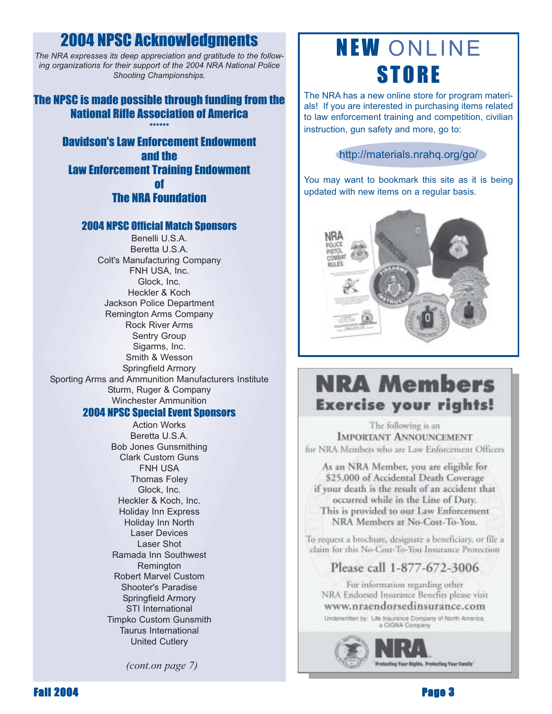# 2004 NPSC Acknowledgments

*The NRA expresses its deep appreciation and gratitude to the following organizations for their support of the 2004 NRA National Police Shooting Championships.*

#### The NPSC is made possible through funding from the National Rifle Association of America \*\*\*\*\*\*

Davidson's Law Enforcement Endowment and the Law Enforcement Training Endowment of The NRA Foundation

#### 2004 NPSC Official Match Sponsors

Benelli U.S.A. Beretta U.S.A. Colt's Manufacturing Company FNH USA, Inc. Glock, Inc. Heckler & Koch Jackson Police Department Remington Arms Company Rock River Arms Sentry Group Sigarms, Inc. Smith & Wesson Springfield Armory Sporting Arms and Ammunition Manufacturers Institute Sturm, Ruger & Company Winchester Ammunition

#### 2004 NPSC Special Event Sponsors

Action Works Beretta U.S.A. Bob Jones Gunsmithing Clark Custom Guns FNH USA Thomas Foley Glock, Inc. Heckler & Koch, Inc. Holiday Inn Express Holiday Inn North Laser Devices Laser Shot Ramada Inn Southwest Remington Robert Marvel Custom Shooter's Paradise Springfield Armory STI International Timpko Custom Gunsmith Taurus International United Cutlery

*(cont.on page 7)*

# NEW ONLINE **STORE**

The NRA has a new online store for program materials! If you are interested in purchasing items related to law enforcement training and competition, civilian instruction, gun safety and more, go to:

#### http://materials.nrahq.org/go/

You may want to bookmark this site as it is being updated with new items on a regular basis.



# **NRA Members Exercise your rights!**

The following is an **IMPORTANT ANNOUNCEMENT** for NRA Members who are Law Enforcement Officers

As an NRA Member, you are eligible for \$25,000 of Accidental Death Coverage if your death is the result of an accident that occurred while in the Line of Duty. This is provided to our Law Enforcement NRA Members at No-Cost-To-You.

To request a brochure, designate a beneficiary, or file a claim for this No-Cost-To-You Insurance Protection

### Please call 1-877-672-3006

For information regarding other NRA Endorsed Insurance Benefits please visit www.nraendorsedinsurance.com

Underwritten by: Life Insurance Company of North America. a CIGNA Company



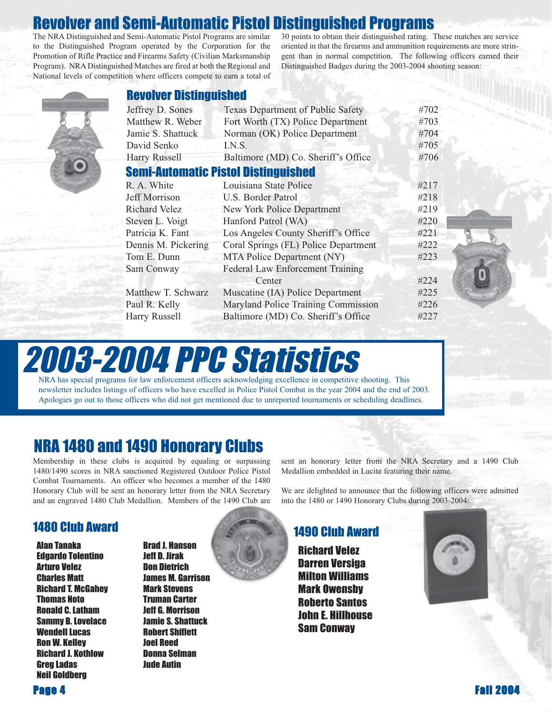# Revolver and Semi-Automatic Pistol Distinguished Programs

The NRA Distinguished and Semi-Automatic Pistol Programs are similar to the Distinguished Program operated by the Corporation for the Promotion of Rifle Practice and Firearms Safety (Civilian Marksmanship Program). NRA Distinguished Matches are fired at both the Regional and National levels of competition where officers compete to earn a total of 30 points to obtain their distinguished rating. These matches are service oriented in that the firearms and ammunition requirements are more stringent than in normal competition. The following officers earned their Distinguished Badges during the 2003-2004 shooting season:



#### Revolver Distinguished

| Jeffrey D. Sones     | Texas Department of Public Safety          | #702 |
|----------------------|--------------------------------------------|------|
| Matthew R. Weber     | Fort Worth (TX) Police Department          | #703 |
| Jamie S. Shattuck    | Norman (OK) Police Department              | #704 |
| David Senko          | LN.S.                                      | #705 |
| <b>Harry Russell</b> | Baltimore (MD) Co. Sheriff's Office        | #706 |
|                      | <b>Semi-Automatic Pistol Distinguished</b> |      |
| R. A. White          | Louisiana State Police                     | #217 |
| Jeff Morrison        | U.S. Border Patrol                         | #218 |
| <b>Richard Velez</b> | New York Police Department                 | #219 |
| Steven L. Voigt      | Hanford Patrol (WA)                        | #220 |
| Patricia K. Fant     | Los Angeles County Sheriff's Office        | #221 |
| Dennis M. Pickering  | Coral Springs (FL) Police Department       | #222 |
| Tom E. Dunn          | MTA Police Department (NY)                 | #223 |
| Sam Conway           | <b>Federal Law Enforcement Training</b>    |      |
|                      | Center                                     | #224 |
| Matthew T. Schwarz   | Muscatine (IA) Police Department           | #225 |
| Paul R. Kelly        | Maryland Police Training Commission        | #226 |
| Harry Russell        | Baltimore (MD) Co. Sheriff's Office        | #227 |
|                      |                                            |      |

# 2003-2004 PPC Statistics

NRA has special programs for law enforcement officers acknowledging excellence in competitive shooting. This newsletter includes listings of officers who have excelled in Police Pistol Combat in the year 2004 and the end of 2003. Apologies go out to those officers who did not get mentioned due to unreported tournaments or scheduling deadlines.

### NRA 1480 and 1490 Honorary Clubs

Membership in these clubs is acquired by equaling or surpassing 1480/1490 scores in NRA sanctioned Registered Outdoor Police Pistol Combat Tournaments. An officer who becomes a member of the 1480 Honorary Club will be sent an honorary letter from the NRA Secretary and an engraved 1480 Club Medallion. Members of the 1490 Club are

#### 1480 Club Award 1490 Club Award

Alan Tanaka Edgardo Tolentino Arturo Velez Charles Matt Richard T. McGahey Thomas Noto Ronald C. Latham Sammy B. Lovelace Wendell Lucas Ron W. Kelley Richard J. Kothlow Greg Ladas Neil Goldberg

Brad J. Hanson Jeff D. Jirak Don Dietrich James M. Garrison Mark Stevens Truman Carter Jeff G. Morrison Jamie S. Shattuck Robert Shiflett Joel Reed Donna Selman Jude Autin

sent an honorary letter from the NRA Secretary and a 1490 Club Medallion embedded in Lucite featuring their name.

We are delighted to announce that the following officers were admitted into the 1480 or 1490 Honorary Clubs during 2003-2004:

Richard Velez Darren Versiga Milton Williams Mark Owensby Roberto Santos John E. Hillhouse Sam Conway



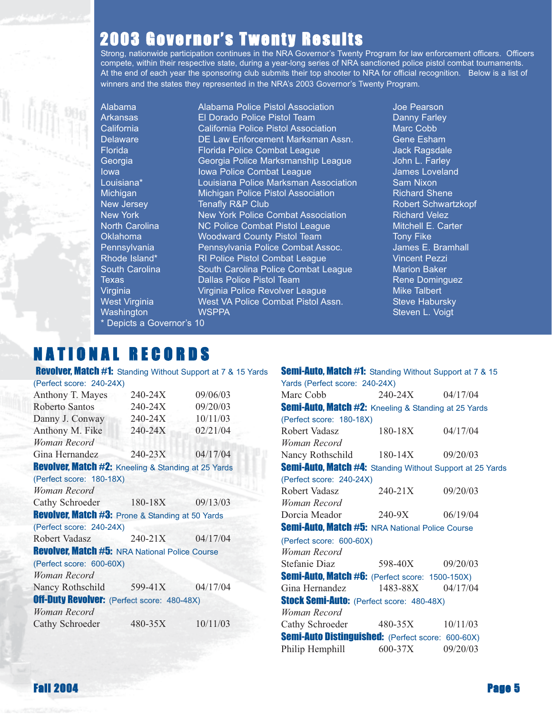# 2003 Governor's Twenty Results

Strong, nationwide participation continues in the NRA Governor's Twenty Program for law enforcement officers. Officers compete, within their respective state, during a year-long series of NRA sanctioned police pistol combat tournaments. At the end of each year the sponsoring club submits their top shooter to NRA for official recognition. Below is a list of winners and the states they represented in the NRA's 2003 Governor's Twenty Program.

Depicts a Governor's 10

Alabama Alabama Police Pistol Association Joe Pearson Arkansas **El Dorado Police Pistol Team** Danny Farley California California Police Pistol Association Marc Cobb Delaware DE Law Enforcement Marksman Assn. Gene Esham Florida Florida Police Combat League Jack Ragsdale Georgia Georgia Police Marksmanship League John L. Farley Iowa **Iowa Police Combat League Iowa James Loveland** Louisiana\* **Louisiana Police Marksman Association** Sam Nixon Michigan Michigan Police Pistol Association Richard Shene New Jersey **Tenafly R&P Club** Robert Schwartzkopf New York New York Police Combat Association Richard Velez North Carolina **NC Police Combat Pistol League** Mitchell E. Carter Oklahoma **Woodward County Pistol Team** Tony Fike Pennsylvania Pennsylvania Police Combat Assoc. James E. Bramhall Rhode Island\* RI Police Pistol Combat League Vincent Pezzi South Carolina **South Carolina Police Combat League** Marion Baker Texas **Dallas Police Pistol Team** Rene Dominguez Virginia Virginia Police Revolver League Mike Talbert West Virginia **West VA Police Combat Pistol Assn.** Steve Habursky Washington WSPPA Steven L. Voigt

# N A T I O N A L R E C O R D S

Revolver, Match #1: Standing Without Support at 7 & 15 Yards (Perfect score: 240-24X) Anthony T. Mayes 240-24X 09/06/03 Roberto Santos 240-24X 09/20/03 Danny J. Conway 240-24X 10/11/03 Anthony M. Fike 240-24X 02/21/04 *Woman Record* Gina Hernandez 240-23X 04/17/04 Revolver, Match #2: Kneeling & Standing at 25 Yards (Perfect score: 180-18X) *Woman Record* Cathy Schroeder 180-18X 09/13/03 **Revolver, Match #3: Prone & Standing at 50 Yards** (Perfect score: 240-24X) Robert Vadasz 240-21X 04/17/04 **Revolver, Match #5: NRA National Police Course** (Perfect score: 600-60X) *Woman Record* Nancy Rothschild 599-41X 04/17/04 **Off-Duty Revolver:** (Perfect score: 480-48X) *Woman Record* Cathy Schroeder 480-35X 10/11/03

| <b>Semi-Auto, Match #1:</b> Standing Without Support at 7 & 15 |             |          |
|----------------------------------------------------------------|-------------|----------|
| Yards (Perfect score: 240-24X)                                 |             |          |
| Marc Cobb                                                      | 240-24X     | 04/17/04 |
| <b>Semi-Auto, Match #2:</b> Kneeling & Standing at 25 Yards    |             |          |
| (Perfect score: 180-18X)                                       |             |          |
| Robert Vadasz                                                  | $180-18X$   | 04/17/04 |
| Woman Record                                                   |             |          |
| Nancy Rothschild                                               | $180 - 14X$ | 09/20/03 |
| Semi-Auto, Match #4: Standing Without Support at 25 Yards      |             |          |
| (Perfect score: 240-24X)                                       |             |          |
| Robert Vadasz                                                  | $240 - 21X$ | 09/20/03 |
| Woman Record                                                   |             |          |
| Dorcia Meador                                                  | 240-9X      | 06/19/04 |
| <b>Semi-Auto, Match #5: NRA National Police Course</b>         |             |          |
| (Perfect score: 600-60X)                                       |             |          |
| Woman Record                                                   |             |          |
| Stefanie Diaz                                                  | 598-40X     | 09/20/03 |
| Semi-Auto, Match #6: (Perfect score: 1500-150X)                |             |          |
| Gina Hernandez 1483-88X                                        |             | 04/17/04 |
| <b>Stock Semi-Auto: (Perfect score: 480-48X)</b>               |             |          |
| Woman Record                                                   |             |          |
| Cathy Schroeder                                                | 480-35X     | 10/11/03 |
| <b>Semi-Auto Distinguished: (Perfect score: 600-60X)</b>       |             |          |
| Philip Hemphill                                                | 600-37X     | 09/20/03 |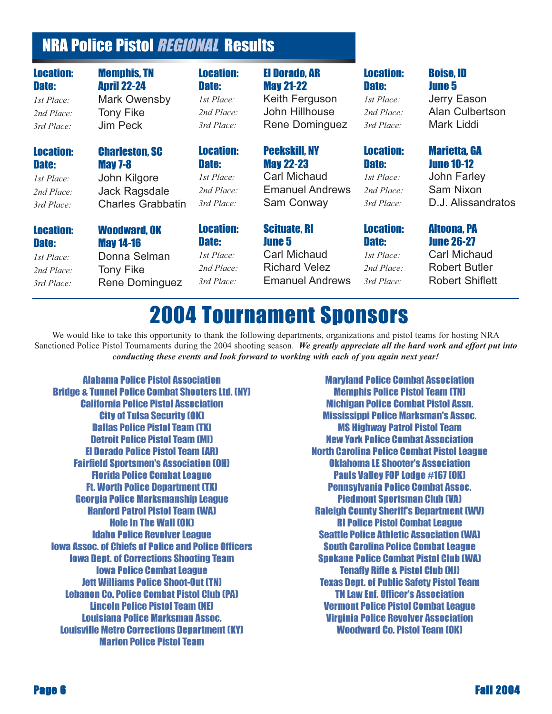# NRA Police Pistol REGIONAL Results

# We would like to take this opportunity to thank the following departments, organizations and pistol teams for hosting NRA 2004 Tournament Sponsors

Sanctioned Police Pistol Tournaments during the 2004 shooting season. *We greatly appreciate all the hard work and effort put into conducting these events and look forward to working with each of you again next year!*

Alabama Police Pistol Association Bridge & Tunnel Police Combat Shooters Ltd. (NY) California Police Pistol Association City of Tulsa Security (OK) Dallas Police Pistol Team (TX) Detroit Police Pistol Team (MI) El Dorado Police Pistol Team (AR) Fairfield Sportsmen's Association (OH) Florida Police Combat League Ft. Worth Police Department (TX) Georgia Police Marksmanship League Hanford Patrol Pistol Team (WA) Hole In The Wall (OK) Idaho Police Revolver League Iowa Assoc. of Chiefs of Police and Police Officers Iowa Dept. of Corrections Shooting Team Iowa Police Combat League Jett Williams Police Shoot-Out (TN) Lebanon Co. Police Combat Pistol Club (PA) Lincoln Police Pistol Team (NE) Louisiana Police Marksman Assoc. Louisville Metro Corrections Department (KY) Marion Police Pistol Team

Maryland Police Combat Association Memphis Police Pistol Team (TN) Michigan Police Combat Pistol Assn. Mississippi Police Marksman's Assoc. MS Highway Patrol Pistol Team New York Police Combat Association North Carolina Police Combat Pistol League Oklahoma LE Shooter's Association Pauls Valley FOP Lodge #167 (OK) Pennsylvania Police Combat Assoc. Piedmont Sportsman Club (VA) Raleigh County Sheriff's Department (WV) RI Police Pistol Combat League Seattle Police Athletic Association (WA) South Carolina Police Combat League Spokane Police Combat Pistol Club (WA) Tenafly Rifle & Pistol Club (NJ) Texas Dept. of Public Safety Pistol Team TN Law Enf. Officer's Association Vermont Police Pistol Combat League Virginia Police Revolver Association Woodward Co. Pistol Team (OK)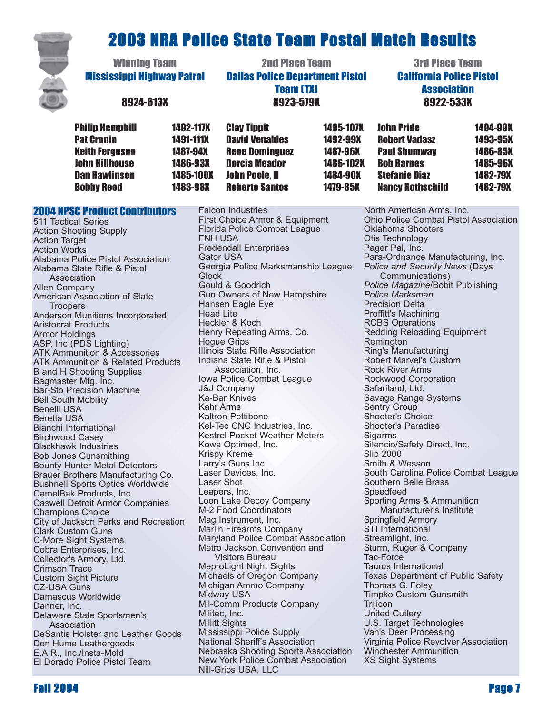# 2003 NRA Police State Team Postal Match Results



| <b>Winning Team</b><br><b>Mississippi Highway Patrol</b><br>8924-613X |                  | <b>2nd Place Team</b><br><b>Dallas Police Department Pistol</b><br><b>Team (TX)</b><br>8923-579X |                  | <b>3rd Place Team</b><br><b>California Police Pistol</b><br><b>Association</b><br>8922-533X |                 |
|-----------------------------------------------------------------------|------------------|--------------------------------------------------------------------------------------------------|------------------|---------------------------------------------------------------------------------------------|-----------------|
| <b>Philip Hemphill</b>                                                | <b>1492-117X</b> | <b>Clay Tippit</b>                                                                               | <b>1495-107X</b> | <b>John Pride</b>                                                                           | 1494-99X        |
| <b>Pat Cronin</b>                                                     | <b>1491-111X</b> | <b>David Venables</b>                                                                            | 1492-99X         | <b>Robert Vadasz</b>                                                                        | 1493-95X        |
| <b>Keith Ferguson</b>                                                 | <b>1487-94X</b>  | <b>Rene Dominguez</b>                                                                            | <b>1487-96X</b>  | <b>Paul Shumway</b>                                                                         | 1486-85X        |
| <b>John Hillhouse</b>                                                 | 1486-93X         | <b>Dorcia Meador</b>                                                                             | 1486-102X        | <b>Bob Barnes</b>                                                                           | <b>1485-96X</b> |

John Poole, II 1484-90X Roberto Santos 1479-85X

Dan Rawlinson 1485-100X Bobby Reed 1483-98X

2004 NPSC Product Contributors 511 Tactical Series Action Shooting Supply **Action Target** Action Works Alabama Police Pistol Association Alabama State Rifle & Pistol Association Allen Company American Association of State **Troopers** Anderson Munitions Incorporated Aristocrat Products Armor Holdings ASP, Inc (PDS Lighting) ATK Ammunition & Accessories ATK Ammunition & Related Products B and H Shooting Supplies Bagmaster Mfg. Inc. Bar-Sto Precision Machine Bell South Mobility Benelli USA Beretta USA Bianchi International Birchwood Casey Blackhawk Industries Bob Jones Gunsmithing Bounty Hunter Metal Detectors Brauer Brothers Manufacturing Co. Bushnell Sports Optics Worldwide CamelBak Products, Inc. Caswell Detroit Armor Companies Champions Choice City of Jackson Parks and Recreation Clark Custom Guns C-More Sight Systems Cobra Enterprises, Inc. Collector's Armory, Ltd. Crimson Trace Custom Sight Picture CZ-USA Guns Damascus Worldwide Danner, Inc. Delaware State Sportsmen's Association DeSantis Holster and Leather Goods Don Hume Leathergoods E.A.R., Inc./Insta-Mold El Dorado Police Pistol Team

Falcon Industries First Choice Armor & Equipment Florida Police Combat League FNH USA Fredendall Enterprises Gator USA Georgia Police Marksmanship League **Glock** Gould & Goodrich Gun Owners of New Hampshire Hansen Eagle Eye Head Lite Heckler & Koch Henry Repeating Arms, Co. Hogue Grips Illinois State Rifle Association Indiana State Rifle & Pistol Association, Inc. Iowa Police Combat League J&J Company Ka-Bar Knives Kahr Arms Kaltron-Pettibone Kel-Tec CNC Industries, Inc. Kestrel Pocket Weather Meters Kowa Optimed, Inc. Krispy Kreme Larry's Guns Inc. Laser Devices, Inc. Laser Shot Leapers, Inc. Loon Lake Decoy Company M-2 Food Coordinators Mag Instrument, Inc. Marlin Firearms Company Maryland Police Combat Association Metro Jackson Convention and Visitors Bureau MeproLight Night Sights Michaels of Oregon Company Michigan Ammo Company Midway USA Mil-Comm Products Company Militec, Inc. Millitt Sights Mississippi Police Supply National Sheriff's Association Nebraska Shooting Sports Association New York Police Combat Association Nill-Grips USA, LLC

North American Arms, Inc. Ohio Police Combat Pistol Association Oklahoma Shooters Otis Technology Pager Pal, Inc. Para-Ordnance Manufacturing, Inc. *Police and Security News* (Days Communications) *Police Magazine*/Bobit Publishing *Police Marksman* Precision Delta Proffitt's Machining RCBS Operations Redding Reloading Equipment Remington Ring's Manufacturing Robert Marvel's Custom Rock River Arms Rockwood Corporation Safariland, Ltd. Savage Range Systems Sentry Group Shooter's Choice Shooter's Paradise Sigarms Silencio/Safety Direct, Inc. Slip 2000 Smith & Wesson South Carolina Police Combat League Southern Belle Brass Speedfeed Sporting Arms & Ammunition Manufacturer's Institute Springfield Armory STI International Streamlight, Inc. Sturm, Ruger & Company Tac-Force Taurus International Texas Department of Public Safety Thomas G. Foley Timpko Custom Gunsmith **Trijicon** United Cutlery U.S. Target Technologies Van's Deer Processing Virginia Police Revolver Association Winchester Ammunition XS Sight Systems

Stefanie Diaz 1482-79X Nancy Rothschild 1482-79X